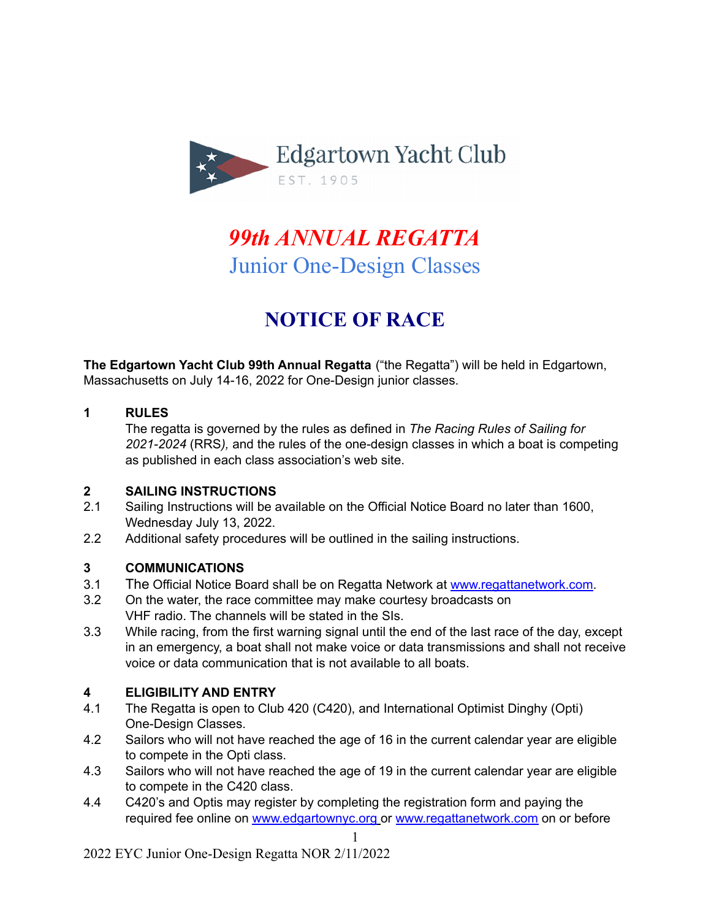

# *99th ANNUAL REGATTA* Junior One-Design Classes

# **NOTICE OF RACE**

**The Edgartown Yacht Club 99th Annual Regatta** ("the Regatta") will be held in Edgartown, Massachusetts on July 14-16, 2022 for One-Design junior classes.

#### **1 RULES**

The regatta is governed by the rules as defined in *The Racing Rules of Sailing for 2021-2024* (RRS*),* and the rules of the one-design classes in which a boat is competing as published in each class association's web site.

#### **2 SAILING INSTRUCTIONS**

- 2.1 Sailing Instructions will be available on the Official Notice Board no later than 1600, Wednesday July 13, 2022.
- 2.2 Additional safety procedures will be outlined in the sailing instructions.

# **3 COMMUNICATIONS**

- 3.1 The Official Notice Board shall be on Regatta Network at [www.regattanetwork.com.](http://www.regattanetwork.com)
- 3.2 On the water, the race committee may make courtesy broadcasts on VHF radio. The channels will be stated in the SIs.
- 3.3 While racing, from the first warning signal until the end of the last race of the day, except in an emergency, a boat shall not make voice or data transmissions and shall not receive voice or data communication that is not available to all boats.

# **4 ELIGIBILITY AND ENTRY**

- 4.1 The Regatta is open to Club 420 (C420), and International Optimist Dinghy (Opti) One-Design Classes.
- 4.2 Sailors who will not have reached the age of 16 in the current calendar year are eligible to compete in the Opti class.
- 4.3 Sailors who will not have reached the age of 19 in the current calendar year are eligible to compete in the C420 class.
- 4.4 C420's and Optis may register by completing the registration form and paying the required fee online on [www.edgartownyc.org](http://www.edgartownyc.org) or [www.regattanetwork.com](http://www.regattanetwork.com) on or before

1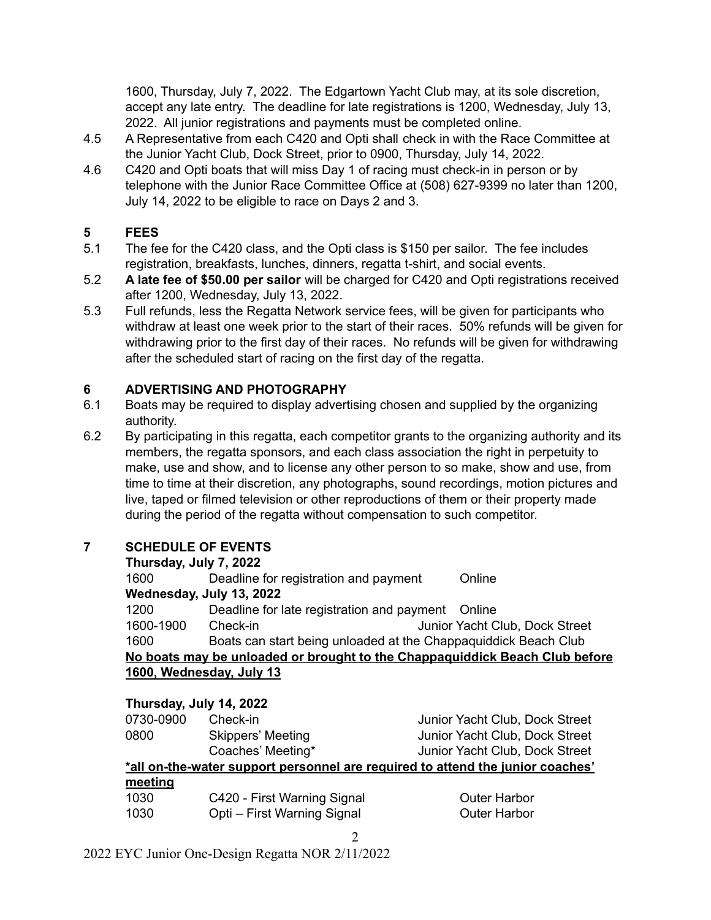1600, Thursday, July 7, 2022. The Edgartown Yacht Club may, at its sole discretion, accept any late entry. The deadline for late registrations is 1200, Wednesday, July 13, 2022. All junior registrations and payments must be completed online.

- 4.5 A Representative from each C420 and Opti shall check in with the Race Committee at the Junior Yacht Club, Dock Street, prior to 0900, Thursday, July 14, 2022.
- 4.6 C420 and Opti boats that will miss Day 1 of racing must check-in in person or by telephone with the Junior Race Committee Office at (508) 627-9399 no later than 1200, July 14, 2022 to be eligible to race on Days 2 and 3.

## **5 FEES**

- 5.1 The fee for the C420 class, and the Opti class is \$150 per sailor. The fee includes registration, breakfasts, lunches, dinners, regatta t-shirt, and social events.
- 5.2 **A late fee of \$50.00 per sailor** will be charged for C420 and Opti registrations received after 1200, Wednesday, July 13, 2022.
- 5.3 Full refunds, less the Regatta Network service fees, will be given for participants who withdraw at least one week prior to the start of their races. 50% refunds will be given for withdrawing prior to the first day of their races. No refunds will be given for withdrawing after the scheduled start of racing on the first day of the regatta.

# **6 ADVERTISING AND PHOTOGRAPHY**

- 6.1 Boats may be required to display advertising chosen and supplied by the organizing authority.
- 6.2 By participating in this regatta, each competitor grants to the organizing authority and its members, the regatta sponsors, and each class association the right in perpetuity to make, use and show, and to license any other person to so make, show and use, from time to time at their discretion, any photographs, sound recordings, motion pictures and live, taped or filmed television or other reproductions of them or their property made during the period of the regatta without compensation to such competitor.

# **7 SCHEDULE OF EVENTS**

| Thursday, July 7, 2022                                                      |                                                                 |                                |  |  |  |
|-----------------------------------------------------------------------------|-----------------------------------------------------------------|--------------------------------|--|--|--|
| 1600                                                                        | Deadline for registration and payment                           | Online                         |  |  |  |
|                                                                             | Wednesday, July 13, 2022                                        |                                |  |  |  |
| 1200                                                                        | Deadline for late registration and payment Online               |                                |  |  |  |
| 1600-1900                                                                   | Check-in                                                        | Junior Yacht Club, Dock Street |  |  |  |
| 1600                                                                        | Boats can start being unloaded at the Chappaquiddick Beach Club |                                |  |  |  |
| No boats may be unloaded or brought to the Chappaquiddick Beach Club before |                                                                 |                                |  |  |  |
| 1600, Wednesday, July 13                                                    |                                                                 |                                |  |  |  |
|                                                                             |                                                                 |                                |  |  |  |

**Thursday, July 14, 2022**

| 0730-0900                                                                      | Check-in                    | Junior Yacht Club, Dock Street |  |  |
|--------------------------------------------------------------------------------|-----------------------------|--------------------------------|--|--|
| 0800                                                                           | Skippers' Meeting           | Junior Yacht Club, Dock Street |  |  |
|                                                                                | Coaches' Meeting*           | Junior Yacht Club, Dock Street |  |  |
| *all on-the-water support personnel are required to attend the junior coaches' |                             |                                |  |  |
| meeting                                                                        |                             |                                |  |  |
| 1030                                                                           | C420 - First Warning Signal | <b>Outer Harbor</b>            |  |  |

 $\mathfrak{D}$ 

1030 Opti – First Warning Signal Outer Harbor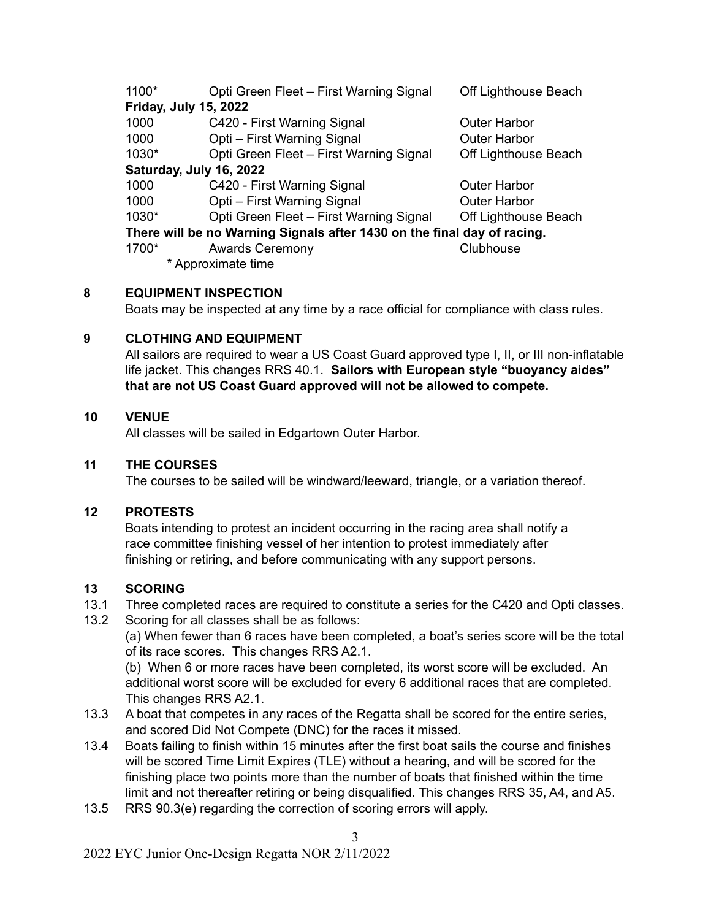| 1100*                                                                   | Opti Green Fleet - First Warning Signal | Off Lighthouse Beach |  |  |
|-------------------------------------------------------------------------|-----------------------------------------|----------------------|--|--|
| <b>Friday, July 15, 2022</b>                                            |                                         |                      |  |  |
| 1000                                                                    | C420 - First Warning Signal             | <b>Outer Harbor</b>  |  |  |
| 1000                                                                    | Opti - First Warning Signal             | <b>Outer Harbor</b>  |  |  |
| 1030*                                                                   | Opti Green Fleet - First Warning Signal | Off Lighthouse Beach |  |  |
| Saturday, July 16, 2022                                                 |                                         |                      |  |  |
| 1000                                                                    | C420 - First Warning Signal             | <b>Outer Harbor</b>  |  |  |
| 1000                                                                    | Opti - First Warning Signal             | <b>Outer Harbor</b>  |  |  |
| 1030*                                                                   | Opti Green Fleet - First Warning Signal | Off Lighthouse Beach |  |  |
| There will be no Warning Signals after 1430 on the final day of racing. |                                         |                      |  |  |
| 1700*                                                                   | <b>Awards Ceremony</b>                  | Clubhouse            |  |  |
|                                                                         | * Approximate time                      |                      |  |  |

#### **8 EQUIPMENT INSPECTION**

Boats may be inspected at any time by a race official for compliance with class rules.

#### **9 CLOTHING AND EQUIPMENT**

All sailors are required to wear a US Coast Guard approved type I, II, or III non-inflatable life jacket. This changes RRS 40.1. **Sailors with European style "buoyancy aides" that are not US Coast Guard approved will not be allowed to compete.**

#### **10 VENUE**

All classes will be sailed in Edgartown Outer Harbor.

#### **11 THE COURSES**

The courses to be sailed will be windward/leeward, triangle, or a variation thereof.

#### **12 PROTESTS**

Boats intending to protest an incident occurring in the racing area shall notify a race committee finishing vessel of her intention to protest immediately after finishing or retiring, and before communicating with any support persons.

# **13 SCORING**

- 13.1 Three completed races are required to constitute a series for the C420 and Opti classes.
- 13.2 Scoring for all classes shall be as follows:

(a) When fewer than 6 races have been completed, a boat's series score will be the total of its race scores. This changes RRS A2.1.

(b) When 6 or more races have been completed, its worst score will be excluded. An additional worst score will be excluded for every 6 additional races that are completed. This changes RRS A2.1.

- 13.3 A boat that competes in any races of the Regatta shall be scored for the entire series, and scored Did Not Compete (DNC) for the races it missed.
- 13.4 Boats failing to finish within 15 minutes after the first boat sails the course and finishes will be scored Time Limit Expires (TLE) without a hearing, and will be scored for the finishing place two points more than the number of boats that finished within the time limit and not thereafter retiring or being disqualified. This changes RRS 35, A4, and A5.
- 13.5 RRS 90.3(e) regarding the correction of scoring errors will apply.